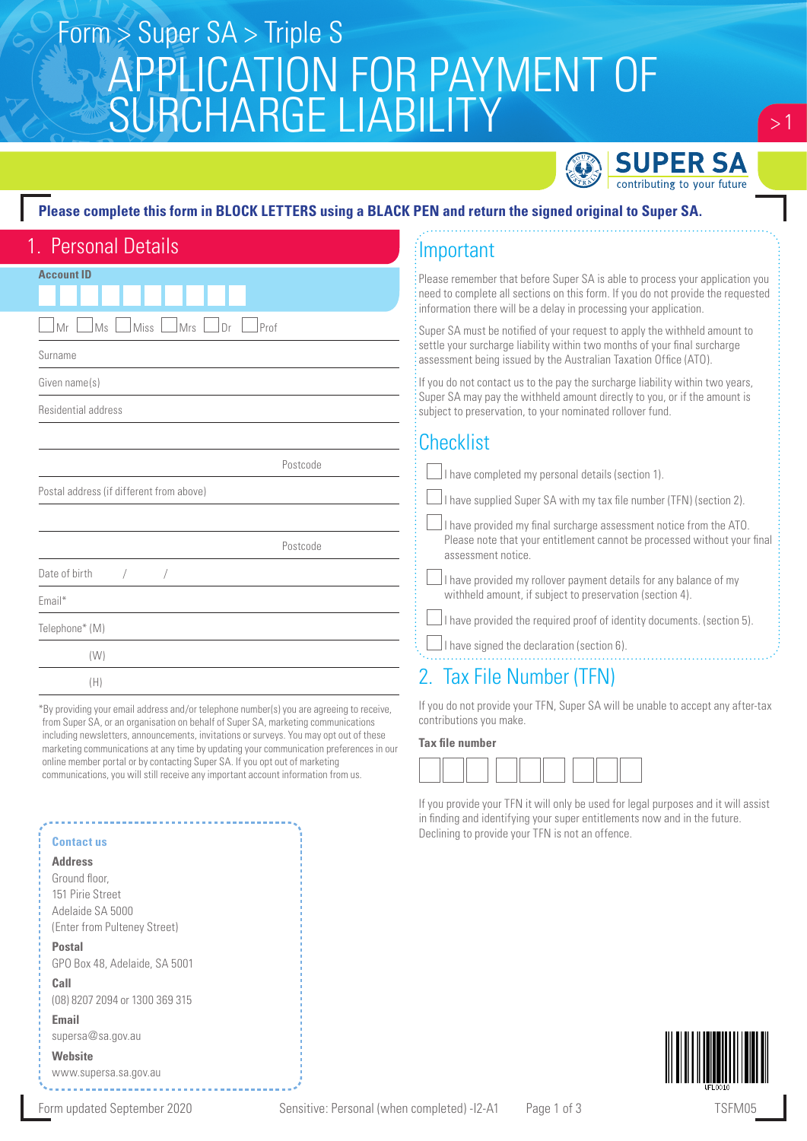# APPLICATION FOR PAYMENT OF SURCHARGE LIABILITY Form > Super SA > Triple S



### **Please complete this form in BLOCK LETTERS using a BLACK PEN and return the signed original to Super SA.**

| 1. Personal Details                           |  |
|-----------------------------------------------|--|
| <b>Account ID</b>                             |  |
|                                               |  |
| Miss<br>Mrs<br>Mr<br>Ms<br>Dr<br>Prof         |  |
| Surname                                       |  |
| Given name(s)                                 |  |
| Residential address                           |  |
|                                               |  |
| Postcode                                      |  |
| Postal address (if different from above)      |  |
|                                               |  |
| Postcode                                      |  |
| Date of birth<br>$\overline{ }$<br>$\sqrt{2}$ |  |
| Email*                                        |  |
| Telephone* (M)                                |  |
| (W)                                           |  |
| (H)                                           |  |
|                                               |  |

\*By providing your email address and/or telephone number(s) you are agreeing to receive, from Super SA, or an organisation on behalf of Super SA, marketing communications including newsletters, announcements, invitations or surveys. You may opt out of these marketing communications at any time by updating your communication preferences in our online member portal or by contacting Super SA. If you opt out of marketing communications, you will still receive any important account information from us.

### **Contact us**

#### **Address**

Ground floor, 151 Pirie Street Adelaide SA 5000 (Enter from Pulteney Street)

**Postal**  GPO Box 48, Adelaide, SA 5001

**Call**  (08) 8207 2094 or 1300 369 315

**Email** supersa@sa.gov.au

## **Website**

www.supersa.sa.gov.au

# Important

ase remember that before Super SA is able to process your application you d to complete all sections on this form. If you do not provide the requested information there will be a delay in processing your application.

er SA must be notified of your request to apply the withheld amount to tle your surcharge liability within two months of your final surcharge essment being issued by the Australian Taxation Office (ATO).

bu do not contact us to the pay the surcharge liability within two years, er SA may pay the withheld amount directly to you, or if the amount is iect to preservation, to your nominated rollover fund.

## hecklist

 $\Box$  I have completed my personal details (section 1).

 $\Box$  I have supplied Super SA with my tax file number (TFN) (section 2).

 $\Box$  I have provided my final surcharge assessment notice from the ATO. Please note that your entitlement cannot be processed without your final assessment notice.

 $\Box$ I have provided my rollover payment details for any balance of my withheld amount, if subject to preservation (section 4).

 $\perp$  I have provided the required proof of identity documents. (section 5).

 $\Box$  I have signed the declaration (section 6).

## Tax File Number (TFN)

If you do not provide your TFN, Super SA will be unable to accept any after-tax contributions you make.

### **Tax file number**

If you provide your TFN it will only be used for legal purposes and it will assist in finding and identifying your super entitlements now and in the future. Declining to provide your TFN is not an offence.



 $> 1$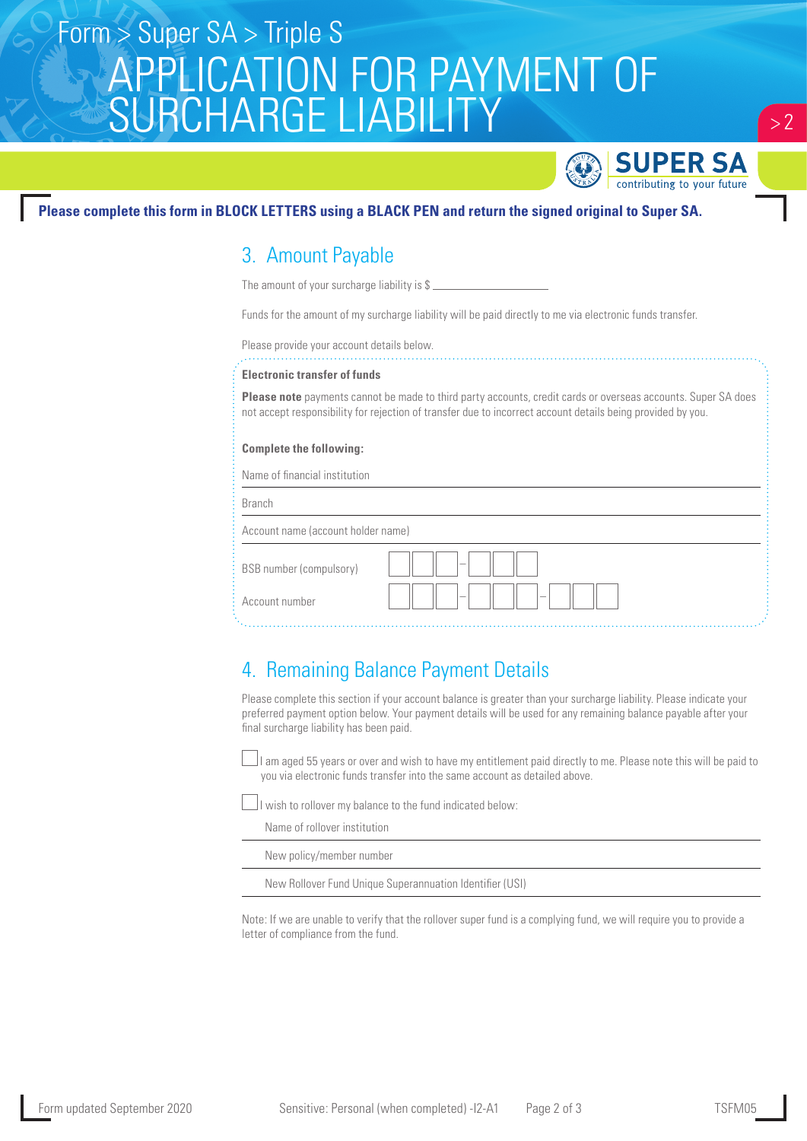# APPLICATION FOR PAYMENT OF SURCHARGE LIABILITY Form > Super SA > Triple S



## **Please complete this form in BLOCK LETTERS using a BLACK PEN and return the signed original to Super SA.**

## 3. Amount Payable

The amount of your surcharge liability is \$

Funds for the amount of my surcharge liability will be paid directly to me via electronic funds transfer.

Please provide your account details below.

### **Electronic transfer of funds**

**Please note** payments cannot be made to third party accounts, credit cards or overseas accounts. Super SA does not accept responsibility for rejection of transfer due to incorrect account details being provided by you.

### **Complete the following:**

Name of financial institution

Branch

Account name (account holder name)

| BSB number (compulsory) | $\hspace{0.05cm}$ |
|-------------------------|-------------------|
| Account number          | $\sim$<br>$\sim$  |

## 4. Remaining Balance Payment Details

Please complete this section if your account balance is greater than your surcharge liability. Please indicate your preferred payment option below. Your payment details will be used for any remaining balance payable after your final surcharge liability has been paid.

 I am aged 55 years or over and wish to have my entitlement paid directly to me. Please note this will be paid to you via electronic funds transfer into the same account as detailed above.

II wish to rollover my balance to the fund indicated below:

Name of rollover institution

New policy/member number

New Rollover Fund Unique Superannuation Identifier (USI)

Note: If we are unable to verify that the rollover super fund is a complying fund, we will require you to provide a letter of compliance from the fund.